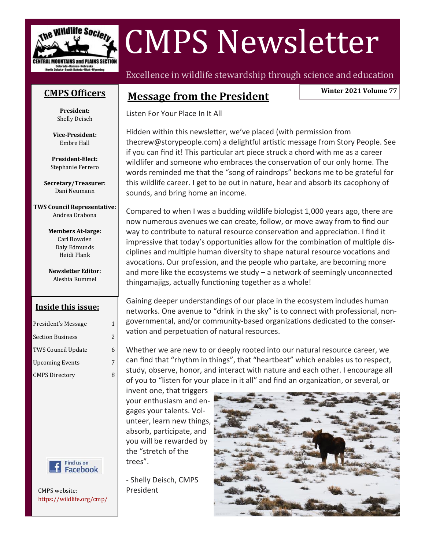

# CMPS Newsletter

### **CMPS [Officers](http://wildlife.org/cmp/officers/)**

**President:** Shelly Deisch

**Vice-President:** Embre Hall

**President-Elect:** Stephanie Ferrero

**Secretary/Treasurer:** Dani Neumann

**TWS Council Representative:** Andrea Orabona

> **Members At-large:** Carl Bowden Daly Edmunds Heidi Plank

> **Newsletter Editor:** Aleshia Rummel

### **Inside this issue:**

| President's Message       | 1 |
|---------------------------|---|
| <b>Section Business</b>   | 2 |
| <b>TWS Council Update</b> | 6 |
| <b>Upcoming Events</b>    | 7 |
| <b>CMPS Directory</b>     | 8 |



CMPS website: <https://wildlife.org/cmp/> Excellence in wildlife stewardship through science and education

### **Message from the President**

**Winter 2021 Volume 77**

Listen For Your Place In It All

Hidden within this newsletter, we've placed (with permission from thecrew@storypeople.com) a delightful artistic message from Story People. See if you can find it! This particular art piece struck a chord with me as a career wildlifer and someone who embraces the conservation of our only home. The words reminded me that the "song of raindrops" beckons me to be grateful for this wildlife career. I get to be out in nature, hear and absorb its cacophony of sounds, and bring home an income.

Compared to when I was a budding wildlife biologist 1,000 years ago, there are now numerous avenues we can create, follow, or move away from to find our way to contribute to natural resource conservation and appreciation. I find it impressive that today's opportunities allow for the combination of multiple disciplines and multiple human diversity to shape natural resource vocations and avocations. Our profession, and the people who partake, are becoming more and more like the ecosystems we study  $-$  a network of seemingly unconnected thingamajigs, actually functioning together as a whole!

Gaining deeper understandings of our place in the ecosystem includes human networks. One avenue to "drink in the sky" is to connect with professional, nongovernmental, and/or community-based organizations dedicated to the conservation and perpetuation of natural resources.

Whether we are new to or deeply rooted into our natural resource career, we can find that "rhythm in things", that "heartbeat" which enables us to respect, study, observe, honor, and interact with nature and each other. I encourage all of you to "listen for your place in it all" and find an organization, or several, or

invent one, that triggers your enthusiasm and engages your talents. Volunteer, learn new things, absorb, participate, and you will be rewarded by the "stretch of the trees".

- Shelly Deisch, CMPS President

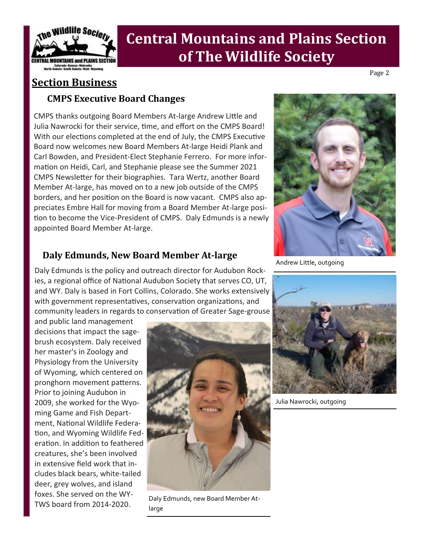

### **Section Business**

### **CMPS Executive Board Changes**

CMPS thanks outgoing Board Members At-large Andrew Little and Julia Nawrocki for their service, time, and effort on the CMPS Board! With our elections completed at the end of July, the CMPS Executive Board now welcomes new Board Members At-large Heidi Plank and Carl Bowden, and President-Elect Stephanie Ferrero. For more information on Heidi, Carl, and Stephanie please see the Summer 2021 CMPS Newsletter for their biographies. Tara Wertz, another Board Member At-large, has moved on to a new job outside of the CMPS borders, and her position on the Board is now vacant. CMPS also appreciates Embre Hall for moving from a Board Member At-large position to become the Vice-President of CMPS. Daly Edmunds is a newly appointed Board Member At-large.

### **Daly Edmunds, New Board Member At-large**

Daly Edmunds is the policy and outreach director for Audubon Rockies, a regional office of National Audubon Society that serves CO, UT, and WY. Daly is based in Fort Collins, Colorado. She works extensively with government representatives, conservation organizations, and community leaders in regards to conservation of Greater Sage-grouse

and public land management decisions that impact the sagebrush ecosystem. Daly received her master's in Zoology and Physiology from the University of Wyoming, which centered on pronghorn movement patterns. Prior to joining Audubon in 2009, she worked for the Wyoming Game and Fish Department, National Wildlife Federation, and Wyoming Wildlife Federation. In addition to feathered creatures, she's been involved in extensive field work that includes black bears, white-tailed deer, grey wolves, and island foxes. She served on the WY-TWS board from 2014-2020.



Daly Edmunds, new Board Member Atlarge



Andrew Little, outgoing



Julia Nawrocki, outgoing

Page 2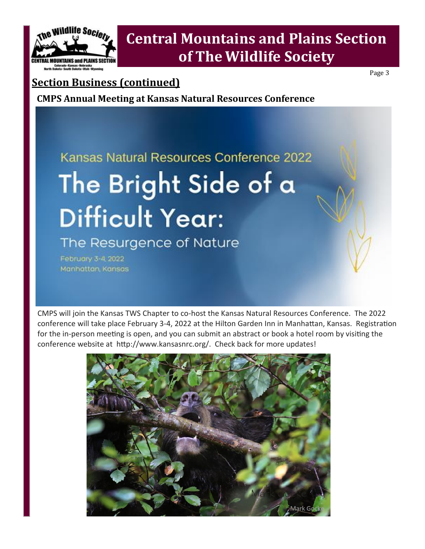

Page 3

### **Section Business (continued)**

**CMPS Annual Meeting at Kansas Natural Resources Conference** 

# Kansas Natural Resources Conference 2022 The Bright Side of a **Difficult Year:**

The Resurgence of Nature

February 3-4, 2022 Manhattan Kansas

CMPS will join the Kansas TWS Chapter to co-host the Kansas Natural Resources Conference. The 2022 conference will take place February 3-4, 2022 at the Hilton Garden Inn in Manhattan, Kansas. Registration for the in-person meeting is open, and you can submit an abstract or book a hotel room by visiting the conference website at http://www.kansasnrc.org/. Check back for more updates!

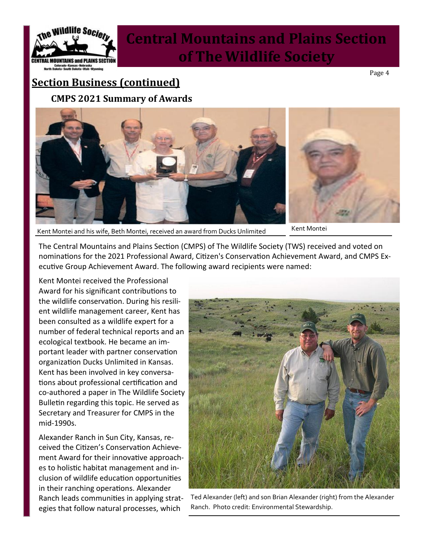

Page 4

## **Section Business (continued) CMPS 2021 Summary of Awards**



Kent Montei and his wife, Beth Montei, received an award from Ducks Unlimited Kent Montei

The Central Mountains and Plains Section (CMPS) of The Wildlife Society (TWS) received and voted on nominations for the 2021 Professional Award, Citizen's Conservation Achievement Award, and CMPS Executive Group Achievement Award. The following award recipients were named:

Kent Montei received the Professional Award for his significant contributions to the wildlife conservation. During his resilient wildlife management career, Kent has been consulted as a wildlife expert for a number of federal technical reports and an ecological textbook. He became an important leader with partner conservation organization Ducks Unlimited in Kansas. Kent has been involved in key conversations about professional certification and co-authored a paper in The Wildlife Society Bulletin regarding this topic. He served as Secretary and Treasurer for CMPS in the mid-1990s.

Alexander Ranch in Sun City, Kansas, received the Citizen's Conservation Achievement Award for their innovative approaches to holistic habitat management and inclusion of wildlife education opportunities in their ranching operations. Alexander Ranch leads communities in applying strategies that follow natural processes, which



Ted Alexander (left) and son Brian Alexander (right) from the Alexander Ranch. Photo credit: Environmental Stewardship.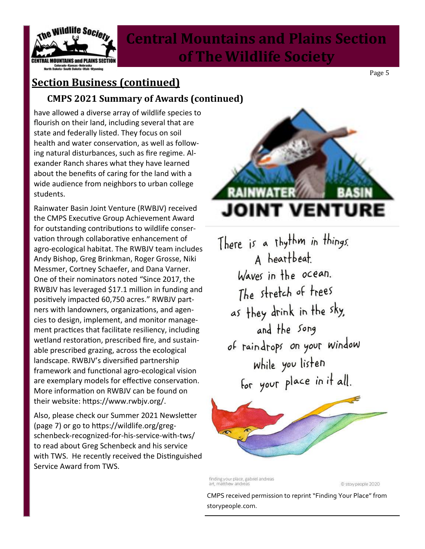

# **Section Business (continued)**

**CMPS 2021 Summary of Awards (continued)**

have allowed a diverse array of wildlife species to flourish on their land, including several that are state and federally listed. They focus on soil health and water conservation, as well as following natural disturbances, such as fire regime. Alexander Ranch shares what they have learned about the benefits of caring for the land with a wide audience from neighbors to urban college students.

Rainwater Basin Joint Venture (RWBJV) received the CMPS Executive Group Achievement Award for outstanding contributions to wildlife conservation through collaborative enhancement of agro-ecological habitat. The RWBJV team includes Andy Bishop, Greg Brinkman, Roger Grosse, Niki Messmer, Cortney Schaefer, and Dana Varner. One of their nominators noted "Since 2017, the RWBJV has leveraged \$17.1 million in funding and positively impacted 60,750 acres." RWBJV partners with landowners, organizations, and agencies to design, implement, and monitor management practices that facilitate resiliency, including wetland restoration, prescribed fire, and sustainable prescribed grazing, across the ecological landscape. RWBJV's diversified partnership framework and functional agro-ecological vision are exemplary models for effective conservation. More information on RWBJV can be found on their website: https://www.rwbjv.org/.

Also, please check our Summer 2021 Newsletter (page 7) or go to https://wildlife.org/gregschenbeck-recognized-for-his-service-with-tws/ to read about Greg Schenbeck and his service with TWS. He recently received the Distinguished Service Award from TWS.



Page 5

There is a thythm in things. A heartbeat. Waves in the ocean. The stretch of trees as they drink in the sky, and the song of raindrops on your window while you listen for your place in it all.



finding your place, gabriel andreas art, matthew andreas

© story people 2020

CMPS received permission to reprint "Finding Your Place" from storypeople.com.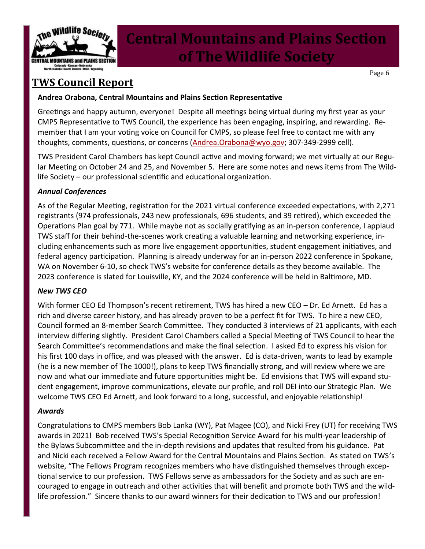

Page 6

### **TWS Council Report**

### **Andrea Orabona, Central Mountains and Plains Section Representative**

Greetings and happy autumn, everyone! Despite all meetings being virtual during my first year as your CMPS Representative to TWS Council, the experience has been engaging, inspiring, and rewarding. Remember that I am your voting voice on Council for CMPS, so please feel free to contact me with any thoughts, comments, questions, or concerns ([Andrea.Orabona@wyo.gov;](mailto:Andrea.Orabona@wyo.gov) 307-349-2999 cell).

TWS President Carol Chambers has kept Council active and moving forward; we met virtually at our Regular Meeting on October 24 and 25, and November 5. Here are some notes and news items from The Wildlife Society – our professional scientific and educational organization.

### *Annual Conferences*

As of the Regular Meeting, registration for the 2021 virtual conference exceeded expectations, with 2,271 registrants (974 professionals, 243 new professionals, 696 students, and 39 retired), which exceeded the Operations Plan goal by 771. While maybe not as socially gratifying as an in-person conference, I applaud TWS staff for their behind-the-scenes work creating a valuable learning and networking experience, including enhancements such as more live engagement opportunities, student engagement initiatives, and federal agency participation. Planning is already underway for an in-person 2022 conference in Spokane, WA on November 6-10, so check TWS's website for conference details as they become available. The 2023 conference is slated for Louisville, KY, and the 2024 conference will be held in Baltimore, MD.

### *New TWS CEO*

With former CEO Ed Thompson's recent retirement, TWS has hired a new CEO - Dr. Ed Arnett. Ed has a rich and diverse career history, and has already proven to be a perfect fit for TWS. To hire a new CEO, Council formed an 8-member Search Committee. They conducted 3 interviews of 21 applicants, with each interview differing slightly. President Carol Chambers called a Special Meeting of TWS Council to hear the Search Committee's recommendations and make the final selection. I asked Ed to express his vision for his first 100 days in office, and was pleased with the answer. Ed is data-driven, wants to lead by example (he is a new member of The 1000!), plans to keep TWS financially strong, and will review where we are now and what our immediate and future opportunities might be. Ed envisions that TWS will expand student engagement, improve communications, elevate our profile, and roll DEI into our Strategic Plan. We welcome TWS CEO Ed Arnett, and look forward to a long, successful, and enjoyable relationship!

### *Awards*

Congratulations to CMPS members Bob Lanka (WY), Pat Magee (CO), and Nicki Frey (UT) for receiving TWS awards in 2021! Bob received TWS's Special Recognition Service Award for his multi-year leadership of the Bylaws Subcommittee and the in-depth revisions and updates that resulted from his guidance. Pat and Nicki each received a Fellow Award for the Central Mountains and Plains Section. As stated on TWS's website, "The Fellows Program recognizes members who have distinguished themselves through exceptional service to our profession. TWS Fellows serve as ambassadors for the Society and as such are encouraged to engage in outreach and other activities that will benefit and promote both TWS and the wildlife profession." Sincere thanks to our award winners for their dedication to TWS and our profession!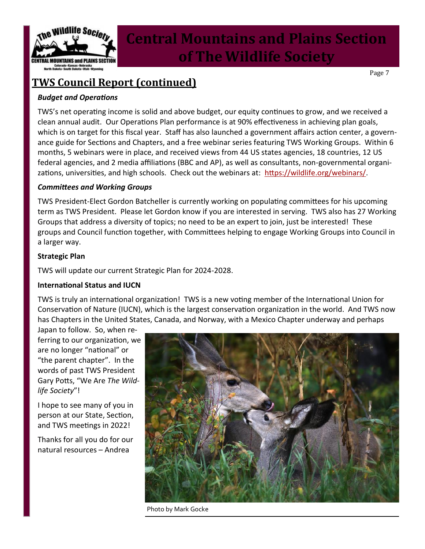

Page 7

### **TWS Council Report (continued)**

*Budget and Operations*

TWS's net operating income is solid and above budget, our equity continues to grow, and we received a clean annual audit. Our Operations Plan performance is at 90% effectiveness in achieving plan goals, which is on target for this fiscal year. Staff has also launched a government affairs action center, a governance guide for Sections and Chapters, and a free webinar series featuring TWS Working Groups. Within 6 months, 5 webinars were in place, and received views from 44 US states agencies, 18 countries, 12 US federal agencies, and 2 media affiliations (BBC and AP), as well as consultants, non-governmental organizations, universities, and high schools. Check out the webinars at: [https://wildlife.org/webinars/.](https://wildlife.org/webinars/)

### *Committees and Working Groups*

TWS President-Elect Gordon Batcheller is currently working on populating committees for his upcoming term as TWS President. Please let Gordon know if you are interested in serving. TWS also has 27 Working Groups that address a diversity of topics; no need to be an expert to join, just be interested! These groups and Council function together, with Committees helping to engage Working Groups into Council in a larger way.

### **Strategic Plan**

TWS will update our current Strategic Plan for 2024-2028.

### **International Status and IUCN**

TWS is truly an international organization! TWS is a new voting member of the International Union for Conservation of Nature (IUCN), which is the largest conservation organization in the world. And TWS now has Chapters in the United States, Canada, and Norway, with a Mexico Chapter underway and perhaps

Japan to follow. So, when referring to our organization, we are no longer "national" or "the parent chapter". In the words of past TWS President Gary Potts, "We Are *The Wildlife Society*"!

I hope to see many of you in person at our State, Section, and TWS meetings in 2022!

Thanks for all you do for our natural resources – Andrea



Photo by Mark Gocke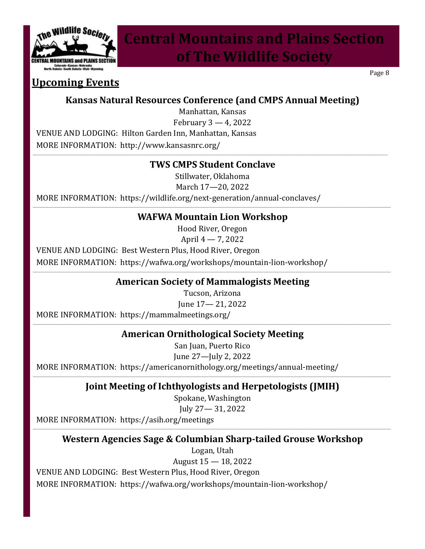

### **Upcoming Events**

**Kansas Natural Resources Conference (and CMPS Annual Meeting)**

Manhattan, Kansas

February 3 — 4, 2022

VENUE AND LODGING: Hilton Garden Inn, Manhattan, Kansas MORE INFORMATION: http://www.kansasnrc.org/

### **\_\_\_\_\_\_\_\_\_\_\_\_\_\_\_\_\_\_\_\_\_\_\_\_\_\_\_\_\_\_\_\_\_\_\_\_\_\_\_\_\_\_\_\_\_\_\_\_\_\_\_\_\_\_\_\_\_\_\_\_\_\_\_\_\_\_\_\_\_\_\_\_\_\_\_\_\_\_\_\_\_\_\_\_\_\_\_\_\_\_\_\_\_\_\_\_\_\_\_\_\_\_\_\_\_\_\_\_\_\_\_\_\_\_\_\_\_\_\_\_\_\_\_\_\_\_\_\_\_\_\_\_\_\_\_\_\_\_\_\_\_\_\_\_\_\_\_\_\_\_\_\_\_\_\_\_\_\_\_\_\_\_\_\_\_\_\_\_\_\_\_\_\_\_\_\_\_\_\_\_\_\_\_\_\_\_\_\_\_\_\_\_\_\_\_\_\_\_\_\_\_\_\_\_\_\_\_\_\_\_\_\_\_\_\_\_\_\_\_\_\_\_\_\_\_\_\_\_\_\_\_\_\_\_\_\_\_\_\_\_\_\_\_\_\_\_\_\_\_\_\_\_\_\_\_\_\_\_\_\_\_\_\_\_\_\_\_\_\_\_\_\_\_\_\_\_\_\_\_\_\_\_\_\_\_\_\_\_\_\_\_\_\_\_\_\_\_\_\_\_\_\_\_\_\_\_\_\_\_\_\_\_\_\_\_\_\_\_\_\_\_\_\_\_\_\_\_\_\_\_\_\_\_\_\_\_\_\_\_\_\_\_\_\_\_ TWS CMPS Student Conclave**

Stillwater, Oklahoma

March 17—20, 2022

MORE INFORMATION: https://wildlife.org/next-generation/annual-conclaves/

#### **\_\_\_\_\_\_\_\_\_\_\_\_\_\_\_\_\_\_\_\_\_\_\_\_\_\_\_\_\_\_\_\_\_\_\_\_\_\_\_\_\_\_\_\_\_\_\_\_\_\_\_\_\_\_\_\_\_\_\_\_\_\_\_\_\_\_\_\_\_\_\_\_\_\_\_\_\_\_\_\_\_\_\_\_\_\_\_\_\_\_\_\_\_\_\_\_\_\_\_\_\_\_\_\_\_\_\_\_\_\_\_\_\_\_\_\_\_\_\_\_\_\_\_\_\_\_\_\_\_\_\_\_\_\_\_\_\_\_\_\_\_\_\_\_\_\_\_\_\_\_\_\_\_\_\_\_\_\_\_\_\_\_\_\_\_\_\_\_\_\_\_\_\_\_\_\_\_\_\_\_\_\_\_\_\_\_\_\_\_\_\_\_\_\_\_\_\_\_\_\_\_\_\_\_\_\_\_\_\_\_\_\_\_\_\_\_\_\_\_\_\_\_\_\_\_\_\_\_\_\_\_\_\_\_\_\_\_\_\_\_\_\_\_\_\_\_\_\_\_\_\_\_\_\_\_\_\_\_\_\_\_\_\_\_\_\_\_\_\_\_\_\_\_\_\_\_\_\_\_\_\_\_\_\_\_\_\_\_\_\_\_\_\_\_\_\_\_\_\_\_\_\_\_\_\_\_\_\_\_\_\_\_\_\_\_\_\_\_\_\_\_\_\_\_\_\_\_\_\_\_\_\_\_\_\_\_\_\_\_\_\_\_\_\_\_\_\_\_ WAFWA Mountain Lion Workshop**

Hood River, Oregon

April 4 — 7, 2022

VENUE AND LODGING: Best Western Plus, Hood River, Oregon

MORE INFORMATION: https://wafwa.org/workshops/mountain-lion-workshop/

#### **\_\_\_\_\_\_\_\_\_\_\_\_\_\_\_\_\_\_\_\_\_\_\_\_\_\_\_\_\_\_\_\_\_\_\_\_\_\_\_\_\_\_\_\_\_\_\_\_\_\_\_\_\_\_\_\_\_\_\_\_\_\_\_\_\_\_\_\_\_\_\_\_\_\_\_\_\_\_\_\_\_\_\_\_\_\_\_\_\_\_\_\_\_\_\_\_\_\_\_\_\_\_\_\_\_\_\_\_\_\_\_\_\_\_\_\_\_\_\_\_\_\_\_\_\_\_\_\_\_\_\_\_\_\_\_\_\_\_\_\_\_\_\_\_\_\_\_\_\_\_\_\_\_\_\_\_\_\_\_\_\_\_\_\_\_\_\_\_\_\_\_\_\_\_\_\_\_\_\_\_\_\_\_\_\_\_\_\_\_\_\_\_\_\_\_\_\_\_\_\_\_\_\_\_\_\_\_\_\_\_\_\_\_\_\_\_\_\_\_\_\_\_\_\_\_\_\_\_\_\_\_\_\_\_\_\_\_\_\_\_\_\_\_\_\_\_\_\_\_\_\_\_\_\_\_\_\_\_\_\_\_\_\_\_\_\_\_\_\_\_\_\_\_\_\_\_\_\_\_\_\_\_\_\_\_\_\_\_\_\_\_\_\_\_\_\_\_\_\_\_\_\_\_\_\_\_\_\_\_\_\_\_\_\_\_\_\_\_\_\_\_\_\_\_\_\_\_\_\_\_\_\_\_\_\_\_\_\_\_\_\_\_\_\_\_\_\_\_ American Society of Mammalogists Meeting**

Tucson, Arizona June 17— 21, 2022

MORE INFORMATION: https://mammalmeetings.org/

#### **\_\_\_\_\_\_\_\_\_\_\_\_\_\_\_\_\_\_\_\_\_\_\_\_\_\_\_\_\_\_\_\_\_\_\_\_\_\_\_\_\_\_\_\_\_\_\_\_\_\_\_\_\_\_\_\_\_\_\_\_\_\_\_\_\_\_\_\_\_\_\_\_\_\_\_\_\_\_\_\_\_\_\_\_\_\_\_\_\_\_\_\_\_\_\_\_\_\_\_\_\_\_\_\_\_\_\_\_\_\_\_\_\_\_\_\_\_\_\_\_\_\_\_\_\_\_\_\_\_\_\_\_\_\_\_\_\_\_\_\_\_\_\_\_\_\_\_\_\_\_\_\_\_\_\_\_\_\_\_\_\_\_\_\_\_\_\_\_\_\_\_\_\_\_\_\_\_\_\_\_\_\_\_\_\_\_\_\_\_\_\_\_\_\_\_\_\_\_\_\_\_\_\_\_\_\_\_\_\_\_\_\_\_\_\_\_\_\_\_\_\_\_\_\_\_\_\_\_\_\_\_\_\_\_\_\_\_\_\_\_\_\_\_\_\_\_\_\_\_\_\_\_\_\_\_\_\_\_\_\_\_\_\_\_\_\_\_\_\_\_\_\_\_\_\_\_\_\_\_\_\_\_\_\_\_\_\_\_\_\_\_\_\_\_\_\_\_\_\_\_\_\_\_\_\_\_\_\_\_\_\_\_\_\_\_\_\_\_\_\_\_\_\_\_\_\_\_\_\_\_\_\_\_\_\_\_\_\_\_\_\_\_\_\_\_\_\_\_ American Ornithological Society Meeting**

San Juan, Puerto Rico June 27—July 2, 2022 MORE INFORMATION: https://americanornithology.org/meetings/annual-meeting/

### **\_\_\_\_\_\_\_\_\_\_\_\_\_\_\_\_\_\_\_\_\_\_\_\_\_\_\_\_\_\_\_\_\_\_\_\_\_\_\_\_\_\_\_\_\_\_\_\_\_\_\_\_\_\_\_\_\_\_\_\_\_\_\_\_\_\_\_\_\_\_\_\_\_\_\_\_\_\_\_\_\_\_\_\_\_\_\_\_\_\_\_\_\_\_\_\_\_\_\_\_\_\_\_\_\_\_\_\_\_\_\_\_\_\_\_\_\_\_\_\_\_\_\_\_\_\_\_\_\_\_\_\_\_\_\_\_\_\_\_\_\_\_\_\_\_\_\_\_\_\_\_\_\_\_\_\_\_\_\_\_\_\_\_\_\_\_\_\_\_\_\_\_\_\_\_\_\_\_\_\_\_\_\_\_\_\_\_\_\_\_\_\_\_\_\_\_\_\_\_\_\_\_\_\_\_\_\_\_\_\_\_\_\_\_\_\_\_\_\_\_\_\_\_\_\_\_\_\_\_\_\_\_\_\_\_\_\_\_\_\_\_\_\_\_\_\_\_\_\_\_\_\_\_\_\_\_\_\_\_\_\_\_\_\_\_\_\_\_\_\_\_\_\_\_\_\_\_\_\_\_\_\_\_\_\_\_\_\_\_\_\_\_\_\_\_\_\_\_\_\_\_\_\_\_\_\_\_\_\_\_\_\_\_\_\_\_\_\_\_\_\_\_\_\_\_\_\_\_\_\_\_\_\_\_\_\_\_\_\_\_\_\_\_\_\_\_\_\_ Joint Meeting of Ichthyologists and Herpetologists (JMIH)**

Spokane, Washington July 27— 31, 2022

MORE INFORMATION: https://asih.org/meetings

### **\_\_\_\_\_\_\_\_\_\_\_\_\_\_\_\_\_\_\_\_\_\_\_\_\_\_\_\_\_\_\_\_\_\_\_\_\_\_\_\_\_\_\_\_\_\_\_\_\_\_\_\_\_\_\_\_\_\_\_\_\_\_\_\_\_\_\_\_\_\_\_\_\_\_\_\_\_\_\_\_\_\_\_\_\_\_\_\_\_\_\_\_\_\_\_\_\_\_\_\_\_\_\_\_\_\_\_\_\_\_\_\_\_\_\_\_\_\_\_\_\_\_\_\_\_\_\_\_\_\_\_\_\_\_\_\_\_\_\_\_\_\_\_\_\_\_\_\_\_\_\_\_\_\_\_\_\_\_\_\_\_\_\_\_\_\_\_\_\_\_\_\_\_\_\_\_\_\_\_\_\_\_\_\_\_\_\_\_\_\_\_\_\_\_\_\_\_\_\_\_\_\_\_\_\_\_\_\_\_\_\_\_\_\_\_\_\_\_\_\_\_\_\_\_\_\_\_\_\_\_\_\_\_\_\_\_\_\_\_\_\_\_\_\_\_\_\_\_\_\_\_\_\_\_\_\_\_\_\_\_\_\_\_\_\_\_\_\_\_\_\_\_\_\_\_\_\_\_\_\_\_\_\_\_\_\_\_\_\_\_\_\_\_\_\_\_\_\_\_\_\_\_\_\_\_\_\_\_\_\_\_\_\_\_\_\_\_\_\_\_\_\_\_\_\_\_\_\_\_\_\_\_\_\_\_\_\_\_\_\_\_\_\_\_\_\_\_\_ Western Agencies Sage & Columbian Sharp-tailed Grouse Workshop**

Logan, Utah August 15 — 18, 2022

VENUE AND LODGING: Best Western Plus, Hood River, Oregon

MORE INFORMATION: https://wafwa.org/workshops/mountain-lion-workshop/

Page 8